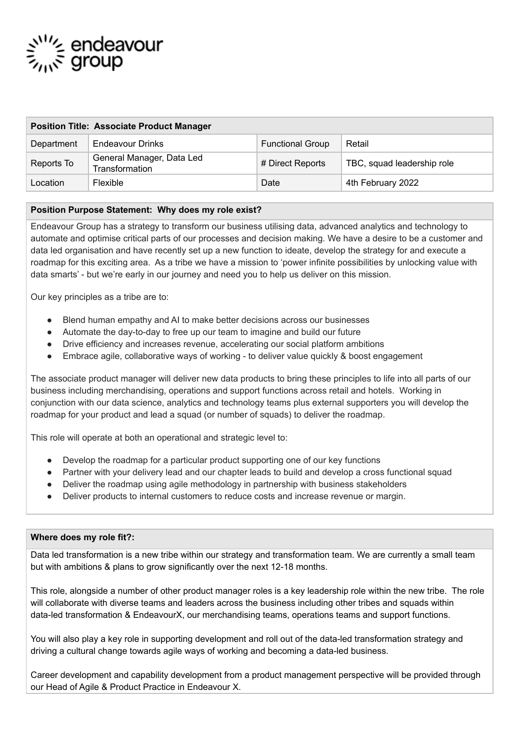# ےُ'''⊱ endeavour<br>چ<sub>س</sub>ۃ group

| <b>Position Title: Associate Product Manager</b> |                                             |                         |                            |
|--------------------------------------------------|---------------------------------------------|-------------------------|----------------------------|
| Department                                       | Endeavour Drinks                            | <b>Functional Group</b> | Retail                     |
| Reports To                                       | General Manager, Data Led<br>Transformation | # Direct Reports        | TBC, squad leadership role |
| Location                                         | Flexible                                    | Date                    | 4th February 2022          |

### **Position Purpose Statement: Why does my role exist?**

Endeavour Group has a strategy to transform our business utilising data, advanced analytics and technology to automate and optimise critical parts of our processes and decision making. We have a desire to be a customer and data led organisation and have recently set up a new function to ideate, develop the strategy for and execute a roadmap for this exciting area. As a tribe we have a mission to 'power infinite possibilities by unlocking value with data smarts' - but we're early in our journey and need you to help us deliver on this mission.

Our key principles as a tribe are to:

- Blend human empathy and AI to make better decisions across our businesses
- Automate the day-to-day to free up our team to imagine and build our future
- Drive efficiency and increases revenue, accelerating our social platform ambitions
- Embrace agile, collaborative ways of working to deliver value quickly & boost engagement

The associate product manager will deliver new data products to bring these principles to life into all parts of our business including merchandising, operations and support functions across retail and hotels. Working in conjunction with our data science, analytics and technology teams plus external supporters you will develop the roadmap for your product and lead a squad (or number of squads) to deliver the roadmap.

This role will operate at both an operational and strategic level to:

- Develop the roadmap for a particular product supporting one of our key functions
- Partner with your delivery lead and our chapter leads to build and develop a cross functional squad
- Deliver the roadmap using agile methodology in partnership with business stakeholders
- Deliver products to internal customers to reduce costs and increase revenue or margin.

### **Where does my role fit?:**

Data led transformation is a new tribe within our strategy and transformation team. We are currently a small team but with ambitions & plans to grow significantly over the next 12-18 months.

This role, alongside a number of other product manager roles is a key leadership role within the new tribe. The role will collaborate with diverse teams and leaders across the business including other tribes and squads within data-led transformation & EndeavourX, our merchandising teams, operations teams and support functions.

You will also play a key role in supporting development and roll out of the data-led transformation strategy and driving a cultural change towards agile ways of working and becoming a data-led business.

Career development and capability development from a product management perspective will be provided through our Head of Agile & Product Practice in Endeavour X.